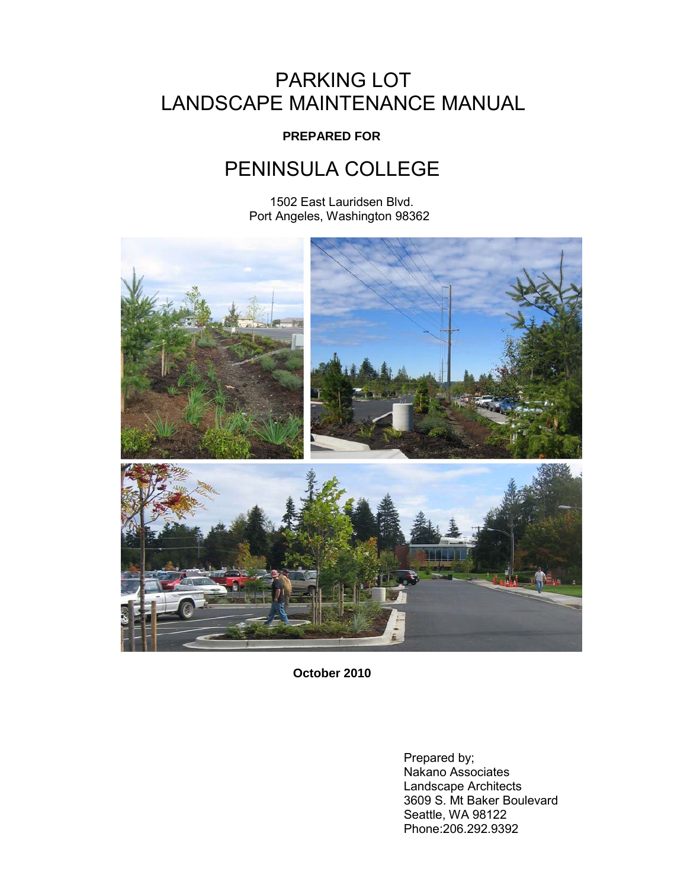# PARKING LOT LANDSCAPE MAINTENANCE MANUAL

#### **PREPARED FOR**

# PENINSULA COLLEGE

 1502 East Lauridsen Blvd. Port Angeles, Washington 98362



**October 2010** 

Prepared by; Nakano Associates Landscape Architects 3609 S. Mt Baker Boulevard Seattle, WA 98122 Phone:206.292.9392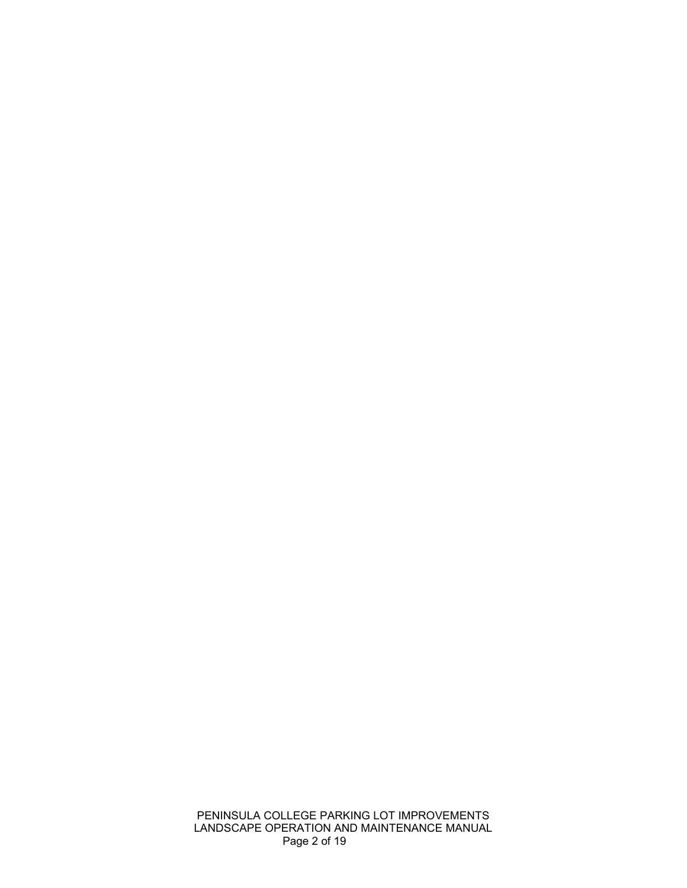PENINSULA COLLEGE PARKING LOT IMPROVEMENTS LANDSCAPE OPERATION AND MAINTENANCE MANUAL Page 2 of 19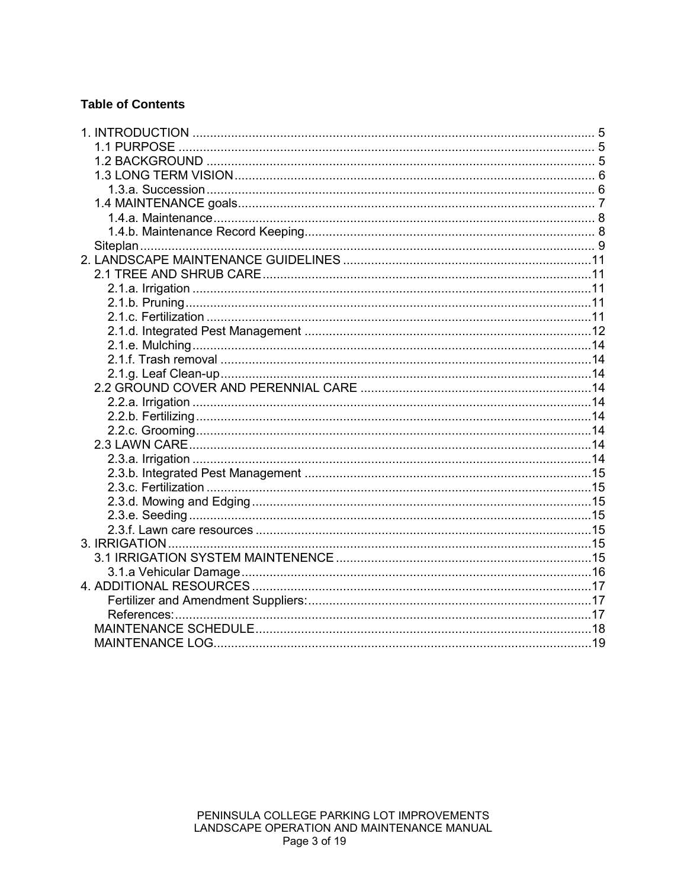#### **Table of Contents**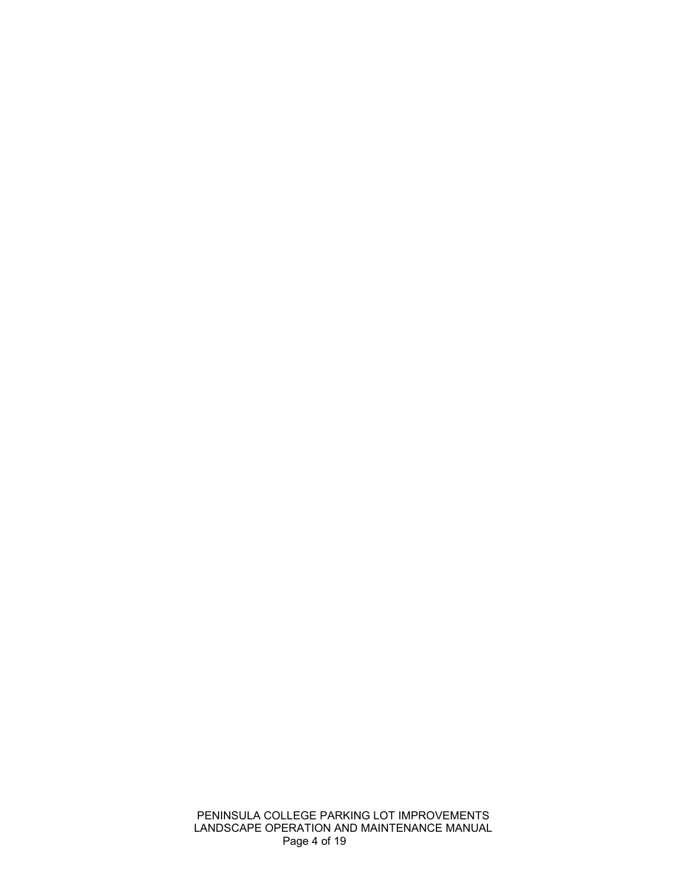PENINSULA COLLEGE PARKING LOT IMPROVEMENTS LANDSCAPE OPERATION AND MAINTENANCE MANUAL Page 4 of 19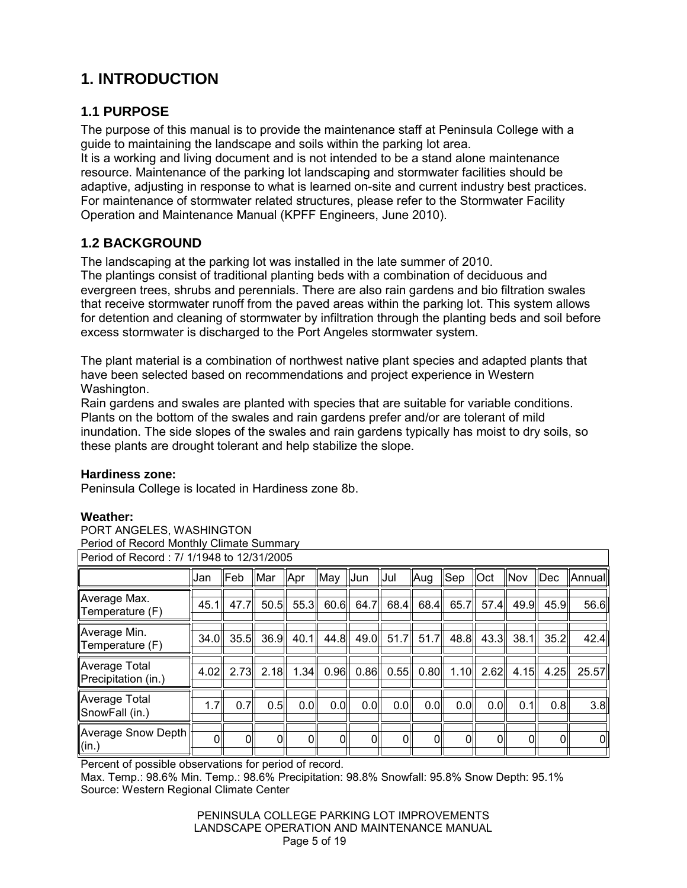# **1. INTRODUCTION**

### **1.1 PURPOSE**

The purpose of this manual is to provide the maintenance staff at Peninsula College with a guide to maintaining the landscape and soils within the parking lot area. It is a working and living document and is not intended to be a stand alone maintenance resource. Maintenance of the parking lot landscaping and stormwater facilities should be adaptive, adjusting in response to what is learned on-site and current industry best practices. For maintenance of stormwater related structures, please refer to the Stormwater Facility Operation and Maintenance Manual (KPFF Engineers, June 2010).

#### **1.2 BACKGROUND**

The landscaping at the parking lot was installed in the late summer of 2010.

The plantings consist of traditional planting beds with a combination of deciduous and evergreen trees, shrubs and perennials. There are also rain gardens and bio filtration swales that receive stormwater runoff from the paved areas within the parking lot. This system allows for detention and cleaning of stormwater by infiltration through the planting beds and soil before excess stormwater is discharged to the Port Angeles stormwater system.

The plant material is a combination of northwest native plant species and adapted plants that have been selected based on recommendations and project experience in Western Washington.

Rain gardens and swales are planted with species that are suitable for variable conditions. Plants on the bottom of the swales and rain gardens prefer and/or are tolerant of mild inundation. The side slopes of the swales and rain gardens typically has moist to dry soils, so these plants are drought tolerant and help stabilize the slope.

#### **Hardiness zone:**

Peninsula College is located in Hardiness zone 8b.

#### **Weather:**

PORT ANGELES, WASHINGTON Period of Record Monthly Climate Summary

Period of Record : 7/ 1/1948 to 12/31/2005

|                                      | <b>Jan</b> | Feb    | Mar | Apr                 | May      | <b>Jun</b>                      | lJul | Aug            | $ $ Sep                            | $ $ Oct | <b>Nov</b> | <b>IDec</b> | <b>IIAnnuall</b> |
|--------------------------------------|------------|--------|-----|---------------------|----------|---------------------------------|------|----------------|------------------------------------|---------|------------|-------------|------------------|
| Average Max.<br>Temperature $(F)$    | 45.1       | 47.7II |     | $50.5$ 55.3         | 60.6     |                                 |      |                | $64.7$ 68.4 68.4 65.7              | 57.4    | 49.9       | 45.9        | 56.6             |
| Average Min.<br>Temperature (F)      | 34.0       |        |     | $35.5$ 36.9 40.1    | 44.8     |                                 |      |                | 49.0 51.7 51.7 48.8 43.3 38.1 35.2 |         |            |             | 42.4             |
| Average Total<br>Precipitation (in.) |            |        |     | 4.02 2.73 2.18 1.34 |          | $0.96$ 0.86 0.55 0.80 1.10 2.62 |      |                |                                    |         |            | $4.15$ 4.25 | 25.57            |
| Average Total<br>SnowFall (in.)      | 1.7        | 0.7    | 0.5 | 0.0                 | 0.0      | 0.0                             | 0.0  | 0.0            | 0.0                                | 0.0     | 0.1        | 0.8         | 3.8              |
| Average Snow Depth<br>(in.)          | ΩI         | Οll    | 0   | $\Omega$            | $\Omega$ | 0                               | 0II  | $\overline{0}$ |                                    | 0       | 01         | 0           | $\overline{0}$   |

Percent of possible observations for period of record.

Max. Temp.: 98.6% Min. Temp.: 98.6% Precipitation: 98.8% Snowfall: 95.8% Snow Depth: 95.1% Source: Western Regional Climate Center

> PENINSULA COLLEGE PARKING LOT IMPROVEMENTS LANDSCAPE OPERATION AND MAINTENANCE MANUAL Page 5 of 19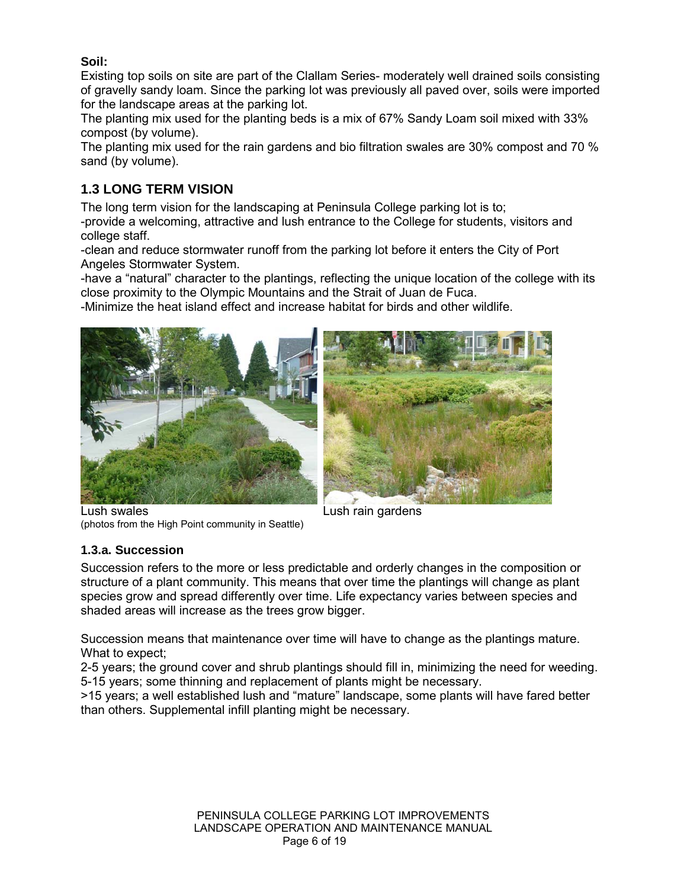#### **Soil:**

Existing top soils on site are part of the Clallam Series- moderately well drained soils consisting of gravelly sandy loam. Since the parking lot was previously all paved over, soils were imported for the landscape areas at the parking lot.

The planting mix used for the planting beds is a mix of 67% Sandy Loam soil mixed with 33% compost (by volume).

The planting mix used for the rain gardens and bio filtration swales are 30% compost and 70 % sand (by volume).

#### **1.3 LONG TERM VISION**

The long term vision for the landscaping at Peninsula College parking lot is to; -provide a welcoming, attractive and lush entrance to the College for students, visitors and college staff.

-clean and reduce stormwater runoff from the parking lot before it enters the City of Port Angeles Stormwater System.

-have a "natural" character to the plantings, reflecting the unique location of the college with its close proximity to the Olympic Mountains and the Strait of Juan de Fuca.

-Minimize the heat island effect and increase habitat for birds and other wildlife.





 Lush swales Lush rain gardens (photos from the High Point community in Seattle)

#### **1.3.a. Succession**

Succession refers to the more or less predictable and orderly changes in the composition or structure of a plant community. This means that over time the plantings will change as plant species grow and spread differently over time. Life expectancy varies between species and shaded areas will increase as the trees grow bigger.

Succession means that maintenance over time will have to change as the plantings mature. What to expect;

2-5 years; the ground cover and shrub plantings should fill in, minimizing the need for weeding. 5-15 years; some thinning and replacement of plants might be necessary.

>15 years; a well established lush and "mature" landscape, some plants will have fared better than others. Supplemental infill planting might be necessary.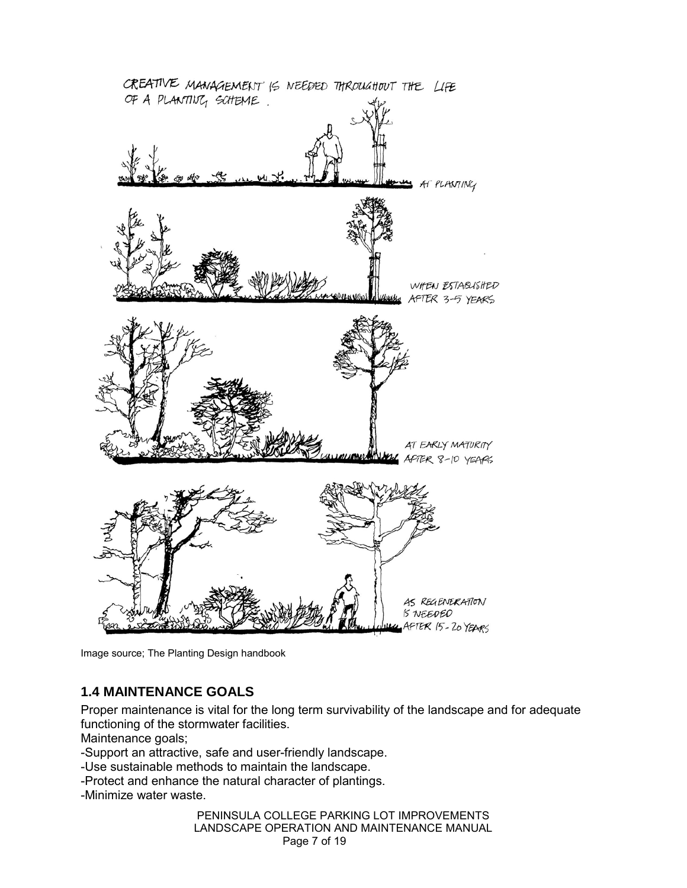

Image source; The Planting Design handbook

#### **1.4 MAINTENANCE GOALS**

Proper maintenance is vital for the long term survivability of the landscape and for adequate functioning of the stormwater facilities.

Maintenance goals;

-Support an attractive, safe and user-friendly landscape.

-Use sustainable methods to maintain the landscape.

-Protect and enhance the natural character of plantings.

-Minimize water waste.

PENINSULA COLLEGE PARKING LOT IMPROVEMENTS LANDSCAPE OPERATION AND MAINTENANCE MANUAL Page 7 of 19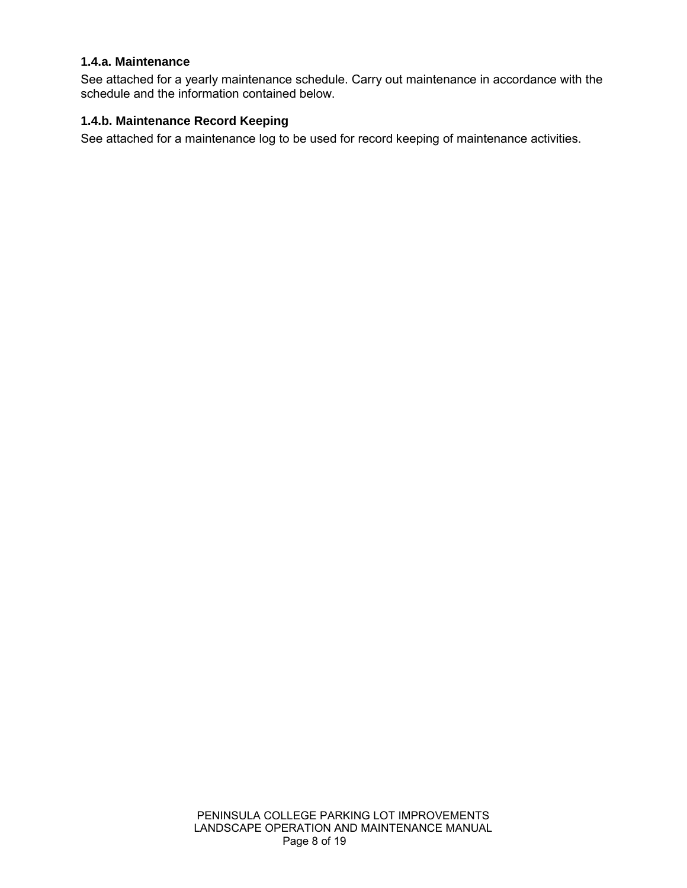#### **1.4.a. Maintenance**

See attached for a yearly maintenance schedule. Carry out maintenance in accordance with the schedule and the information contained below.

#### **1.4.b. Maintenance Record Keeping**

See attached for a maintenance log to be used for record keeping of maintenance activities.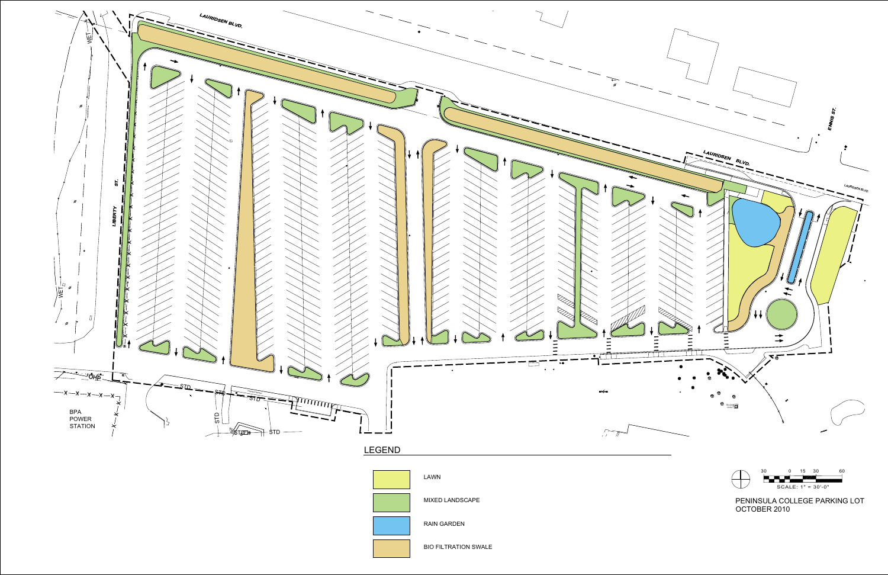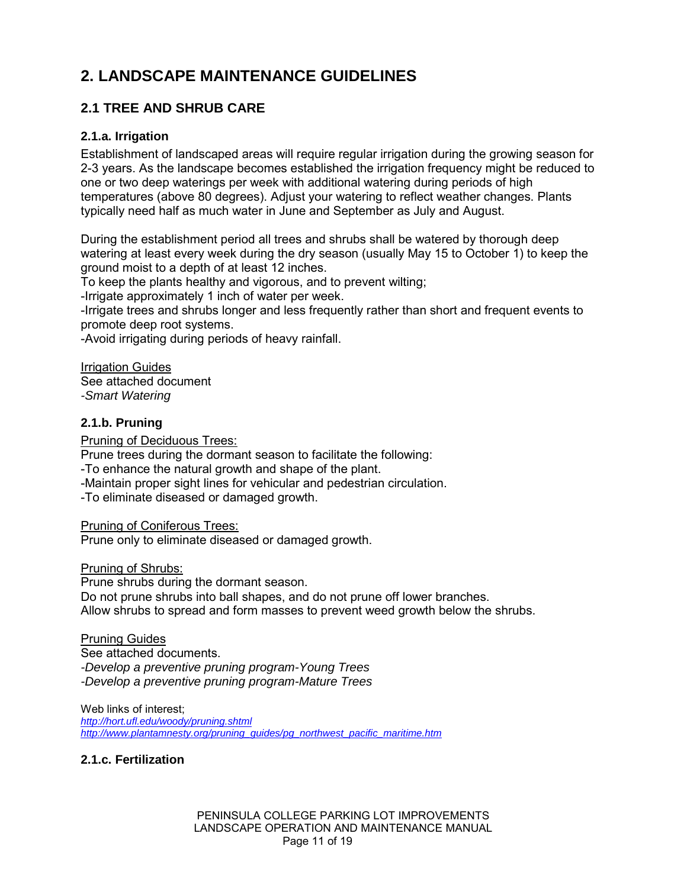## **2. LANDSCAPE MAINTENANCE GUIDELINES**

### **2.1 TREE AND SHRUB CARE**

#### **2.1.a. Irrigation**

Establishment of landscaped areas will require regular irrigation during the growing season for 2-3 years. As the landscape becomes established the irrigation frequency might be reduced to one or two deep waterings per week with additional watering during periods of high temperatures (above 80 degrees). Adjust your watering to reflect weather changes. Plants typically need half as much water in June and September as July and August.

During the establishment period all trees and shrubs shall be watered by thorough deep watering at least every week during the dry season (usually May 15 to October 1) to keep the ground moist to a depth of at least 12 inches.

To keep the plants healthy and vigorous, and to prevent wilting;

-Irrigate approximately 1 inch of water per week.

-Irrigate trees and shrubs longer and less frequently rather than short and frequent events to promote deep root systems.

-Avoid irrigating during periods of heavy rainfall.

Irrigation Guides See attached document *-Smart Watering* 

#### **2.1.b. Pruning**

Pruning of Deciduous Trees:

Prune trees during the dormant season to facilitate the following:

-To enhance the natural growth and shape of the plant.

-Maintain proper sight lines for vehicular and pedestrian circulation.

-To eliminate diseased or damaged growth.

Pruning of Coniferous Trees:

Prune only to eliminate diseased or damaged growth.

Pruning of Shrubs:

Prune shrubs during the dormant season. Do not prune shrubs into ball shapes, and do not prune off lower branches. Allow shrubs to spread and form masses to prevent weed growth below the shrubs.

#### Pruning Guides

See attached documents. *-Develop a preventive pruning program-Young Trees -Develop a preventive pruning program-Mature Trees* 

Web links of interest; *http://hort.ufl.edu/woody/pruning.shtml http://www.plantamnesty.org/pruning\_guides/pg\_northwest\_pacific\_maritime.htm*

#### **2.1.c. Fertilization**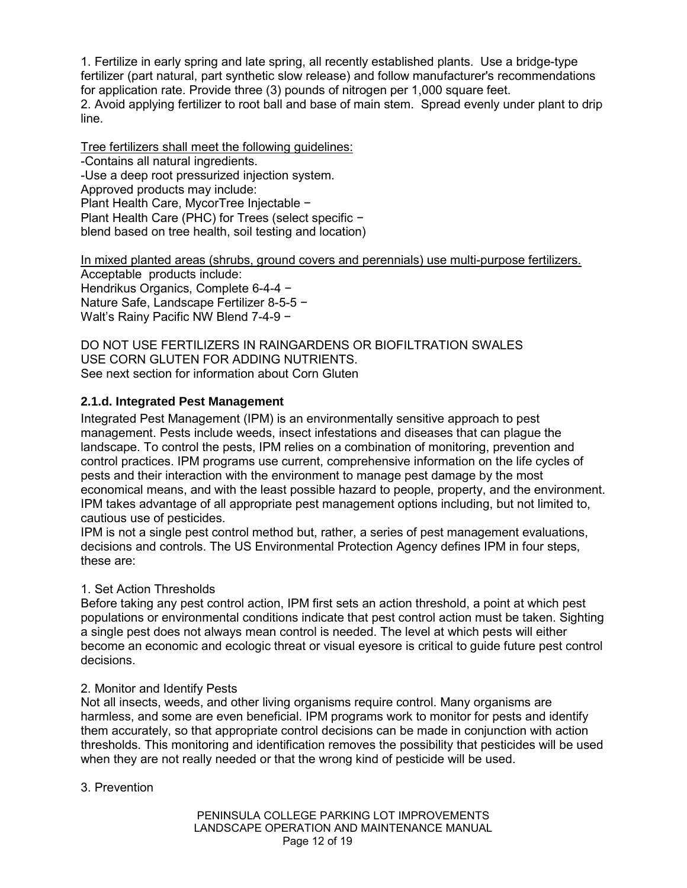1. Fertilize in early spring and late spring, all recently established plants. Use a bridge-type fertilizer (part natural, part synthetic slow release) and follow manufacturer's recommendations for application rate. Provide three (3) pounds of nitrogen per 1,000 square feet. 2. Avoid applying fertilizer to root ball and base of main stem. Spread evenly under plant to drip line.

Tree fertilizers shall meet the following guidelines: -Contains all natural ingredients. -Use a deep root pressurized injection system. Approved products may include: Plant Health Care, MycorTree Injectable − Plant Health Care (PHC) for Trees (select specific − blend based on tree health, soil testing and location)

In mixed planted areas (shrubs, ground covers and perennials) use multi-purpose fertilizers. Acceptable products include: Hendrikus Organics, Complete 6-4-4 − Nature Safe, Landscape Fertilizer 8-5-5 − Walt's Rainy Pacific NW Blend 7-4-9 −

DO NOT USE FERTILIZERS IN RAINGARDENS OR BIOFILTRATION SWALES USE CORN GLUTEN FOR ADDING NUTRIENTS. See next section for information about Corn Gluten

#### **2.1.d. Integrated Pest Management**

Integrated Pest Management (IPM) is an environmentally sensitive approach to pest management. Pests include weeds, insect infestations and diseases that can plague the landscape. To control the pests, IPM relies on a combination of monitoring, prevention and control practices. IPM programs use current, comprehensive information on the life cycles of pests and their interaction with the environment to manage pest damage by the most economical means, and with the least possible hazard to people, property, and the environment. IPM takes advantage of all appropriate pest management options including, but not limited to, cautious use of pesticides.

IPM is not a single pest control method but, rather, a series of pest management evaluations, decisions and controls. The US Environmental Protection Agency defines IPM in four steps, these are:

#### 1. Set Action Thresholds

Before taking any pest control action, IPM first sets an action threshold, a point at which pest populations or environmental conditions indicate that pest control action must be taken. Sighting a single pest does not always mean control is needed. The level at which pests will either become an economic and ecologic threat or visual eyesore is critical to guide future pest control decisions.

#### 2. Monitor and Identify Pests

Not all insects, weeds, and other living organisms require control. Many organisms are harmless, and some are even beneficial. IPM programs work to monitor for pests and identify them accurately, so that appropriate control decisions can be made in conjunction with action thresholds. This monitoring and identification removes the possibility that pesticides will be used when they are not really needed or that the wrong kind of pesticide will be used.

#### 3. Prevention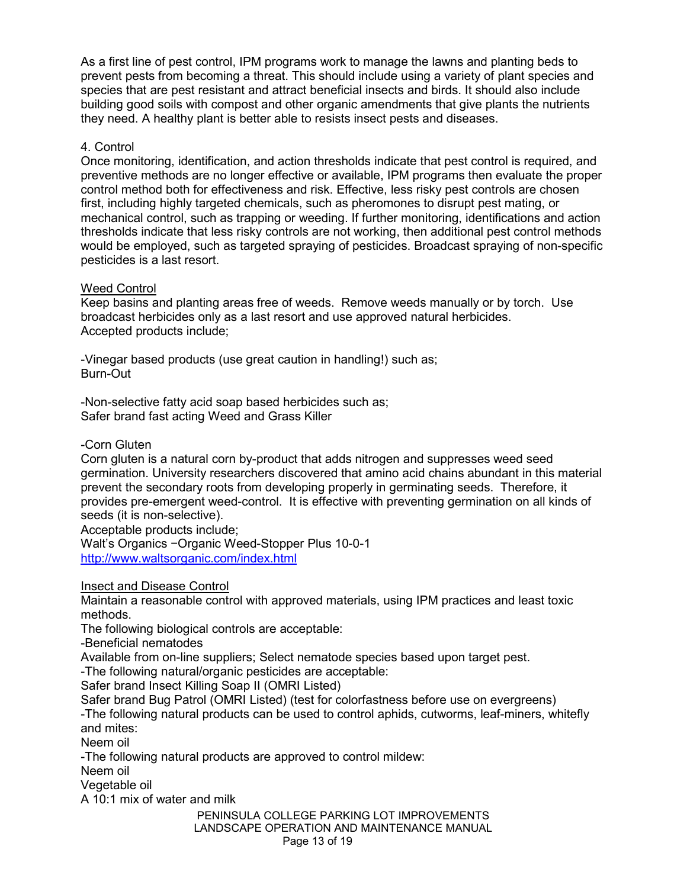As a first line of pest control, IPM programs work to manage the lawns and planting beds to prevent pests from becoming a threat. This should include using a variety of plant species and species that are pest resistant and attract beneficial insects and birds. It should also include building good soils with compost and other organic amendments that give plants the nutrients they need. A healthy plant is better able to resists insect pests and diseases.

#### 4. Control

Once monitoring, identification, and action thresholds indicate that pest control is required, and preventive methods are no longer effective or available, IPM programs then evaluate the proper control method both for effectiveness and risk. Effective, less risky pest controls are chosen first, including highly targeted chemicals, such as pheromones to disrupt pest mating, or mechanical control, such as trapping or weeding. If further monitoring, identifications and action thresholds indicate that less risky controls are not working, then additional pest control methods would be employed, such as targeted spraying of pesticides. Broadcast spraying of non-specific pesticides is a last resort.

#### Weed Control

Keep basins and planting areas free of weeds. Remove weeds manually or by torch. Use broadcast herbicides only as a last resort and use approved natural herbicides. Accepted products include;

-Vinegar based products (use great caution in handling!) such as; Burn-Out

-Non-selective fatty acid soap based herbicides such as; Safer brand fast acting Weed and Grass Killer

-Corn Gluten

Corn gluten is a natural corn by-product that adds nitrogen and suppresses weed seed germination. University researchers discovered that amino acid chains abundant in this material prevent the secondary roots from developing properly in germinating seeds. Therefore, it provides pre-emergent weed-control. It is effective with preventing germination on all kinds of seeds (it is non-selective).

Acceptable products include;

Walt's Organics −Organic Weed-Stopper Plus 10-0-1 http://www.waltsorganic.com/index.html

Insect and Disease Control

Maintain a reasonable control with approved materials, using IPM practices and least toxic methods.

The following biological controls are acceptable:

-Beneficial nematodes

Available from on-line suppliers; Select nematode species based upon target pest.

-The following natural/organic pesticides are acceptable:

Safer brand Insect Killing Soap II (OMRI Listed)

Safer brand Bug Patrol (OMRI Listed) (test for colorfastness before use on evergreens)

-The following natural products can be used to control aphids, cutworms, leaf-miners, whitefly and mites:

Neem oil

-The following natural products are approved to control mildew:

Neem oil

Vegetable oil

A 10:1 mix of water and milk

PENINSULA COLLEGE PARKING LOT IMPROVEMENTS LANDSCAPE OPERATION AND MAINTENANCE MANUAL Page 13 of 19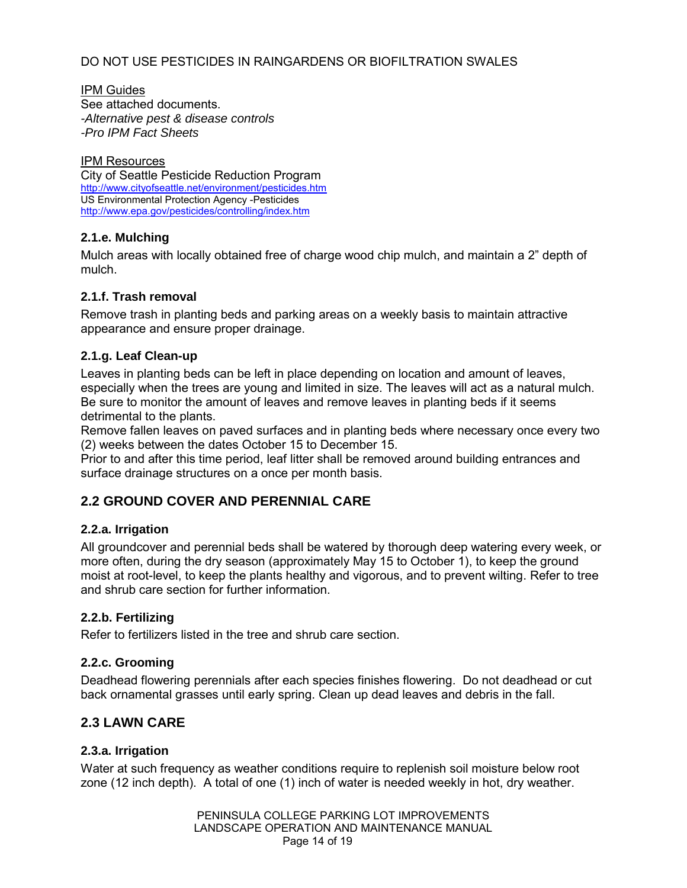#### DO NOT USE PESTICIDES IN RAINGARDENS OR BIOFILTRATION SWALES

IPM Guides See attached documents. *-Alternative pest & disease controls -Pro IPM Fact Sheets* 

IPM Resources City of Seattle Pesticide Reduction Program http://www.cityofseattle.net/environment/pesticides.htm US Environmental Protection Agency -Pesticides http://www.epa.gov/pesticides/controlling/index.htm

#### **2.1.e. Mulching**

Mulch areas with locally obtained free of charge wood chip mulch, and maintain a 2" depth of mulch.

#### **2.1.f. Trash removal**

Remove trash in planting beds and parking areas on a weekly basis to maintain attractive appearance and ensure proper drainage.

#### **2.1.g. Leaf Clean-up**

Leaves in planting beds can be left in place depending on location and amount of leaves, especially when the trees are young and limited in size. The leaves will act as a natural mulch. Be sure to monitor the amount of leaves and remove leaves in planting beds if it seems detrimental to the plants.

Remove fallen leaves on paved surfaces and in planting beds where necessary once every two (2) weeks between the dates October 15 to December 15.

Prior to and after this time period, leaf litter shall be removed around building entrances and surface drainage structures on a once per month basis.

#### **2.2 GROUND COVER AND PERENNIAL CARE**

#### **2.2.a. Irrigation**

All groundcover and perennial beds shall be watered by thorough deep watering every week, or more often, during the dry season (approximately May 15 to October 1), to keep the ground moist at root-level, to keep the plants healthy and vigorous, and to prevent wilting. Refer to tree and shrub care section for further information.

#### **2.2.b. Fertilizing**

Refer to fertilizers listed in the tree and shrub care section.

#### **2.2.c. Grooming**

Deadhead flowering perennials after each species finishes flowering. Do not deadhead or cut back ornamental grasses until early spring. Clean up dead leaves and debris in the fall.

#### **2.3 LAWN CARE**

#### **2.3.a. Irrigation**

Water at such frequency as weather conditions require to replenish soil moisture below root zone (12 inch depth). A total of one (1) inch of water is needed weekly in hot, dry weather.

> PENINSULA COLLEGE PARKING LOT IMPROVEMENTS LANDSCAPE OPERATION AND MAINTENANCE MANUAL Page 14 of 19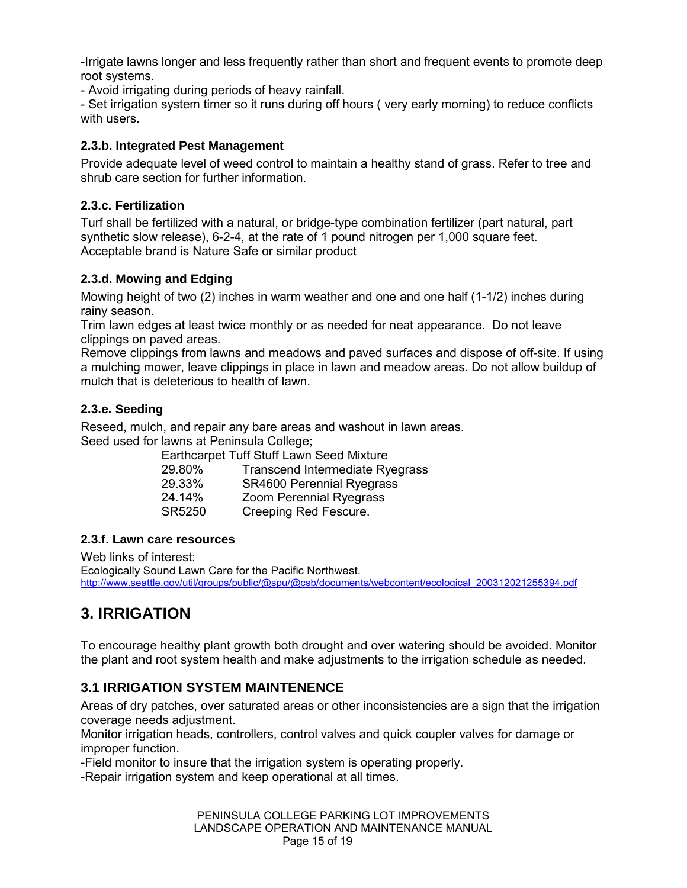-Irrigate lawns longer and less frequently rather than short and frequent events to promote deep root systems.

- Avoid irrigating during periods of heavy rainfall.

- Set irrigation system timer so it runs during off hours ( very early morning) to reduce conflicts with users.

#### **2.3.b. Integrated Pest Management**

Provide adequate level of weed control to maintain a healthy stand of grass. Refer to tree and shrub care section for further information.

#### **2.3.c. Fertilization**

Turf shall be fertilized with a natural, or bridge-type combination fertilizer (part natural, part synthetic slow release), 6-2-4, at the rate of 1 pound nitrogen per 1,000 square feet. Acceptable brand is Nature Safe or similar product

#### **2.3.d. Mowing and Edging**

Mowing height of two (2) inches in warm weather and one and one half (1-1/2) inches during rainy season.

Trim lawn edges at least twice monthly or as needed for neat appearance. Do not leave clippings on paved areas.

Remove clippings from lawns and meadows and paved surfaces and dispose of off-site. If using a mulching mower, leave clippings in place in lawn and meadow areas. Do not allow buildup of mulch that is deleterious to health of lawn.

#### **2.3.e. Seeding**

Reseed, mulch, and repair any bare areas and washout in lawn areas. Seed used for lawns at Peninsula College;

|        | Earthcarpet Tuff Stuff Lawn Seed Mixture |
|--------|------------------------------------------|
| 29.80% | <b>Transcend Intermediate Ryegrass</b>   |
| 29.33% | <b>SR4600 Perennial Ryegrass</b>         |
| 24.14% | <b>Zoom Perennial Ryegrass</b>           |
| SR5250 | Creeping Red Fescure.                    |

#### **2.3.f. Lawn care resources**

Web links of interest: Ecologically Sound Lawn Care for the Pacific Northwest. http://www.seattle.gov/util/groups/public/@spu/@csb/documents/webcontent/ecological\_200312021255394.pdf

### **3. IRRIGATION**

To encourage healthy plant growth both drought and over watering should be avoided. Monitor the plant and root system health and make adjustments to the irrigation schedule as needed.

#### **3.1 IRRIGATION SYSTEM MAINTENENCE**

Areas of dry patches, over saturated areas or other inconsistencies are a sign that the irrigation coverage needs adjustment.

Monitor irrigation heads, controllers, control valves and quick coupler valves for damage or improper function.

-Field monitor to insure that the irrigation system is operating properly.

-Repair irrigation system and keep operational at all times.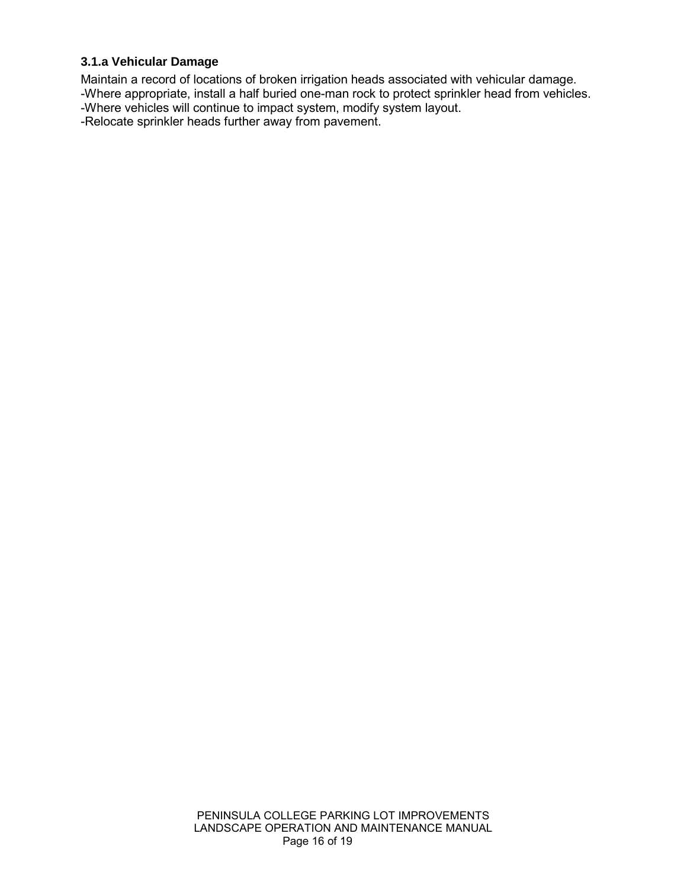#### **3.1.a Vehicular Damage**

Maintain a record of locations of broken irrigation heads associated with vehicular damage. -Where appropriate, install a half buried one-man rock to protect sprinkler head from vehicles. -Where vehicles will continue to impact system, modify system layout. -Relocate sprinkler heads further away from pavement.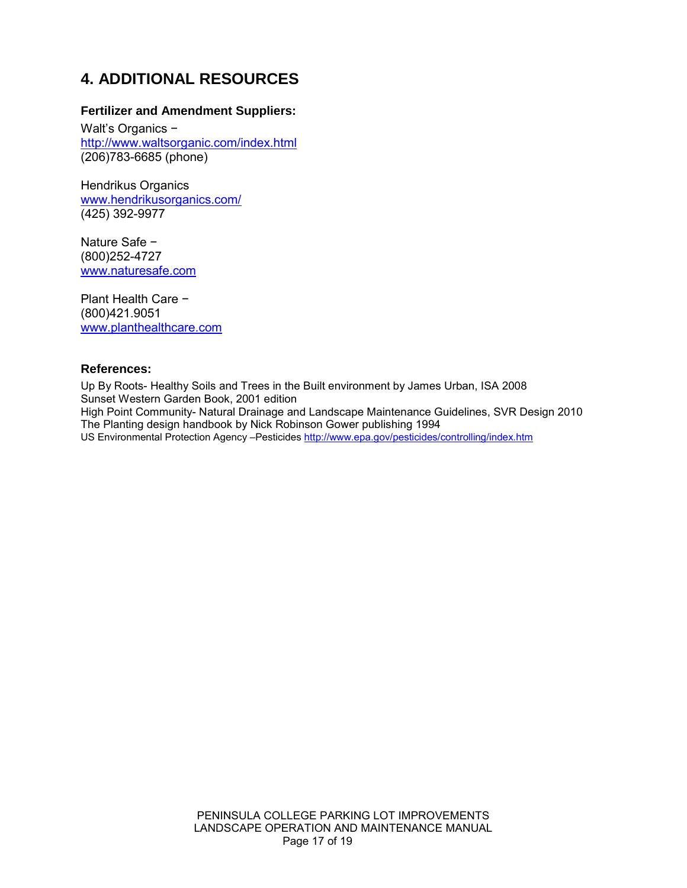# **4. ADDITIONAL RESOURCES**

#### **Fertilizer and Amendment Suppliers:**

Walt's Organics − http://www.waltsorganic.com/index.html (206)783-6685 (phone)

Hendrikus Organics www.hendrikusorganics.com/ (425) 392-9977

Nature Safe − (800)252-4727 www.naturesafe.com

Plant Health Care − (800)421.9051 www.planthealthcare.com

#### **References:**

Up By Roots- Healthy Soils and Trees in the Built environment by James Urban, ISA 2008 Sunset Western Garden Book, 2001 edition High Point Community- Natural Drainage and Landscape Maintenance Guidelines, SVR Design 2010 The Planting design handbook by Nick Robinson Gower publishing 1994 US Environmental Protection Agency -Pesticides http://www.epa.gov/pesticides/controlling/index.htm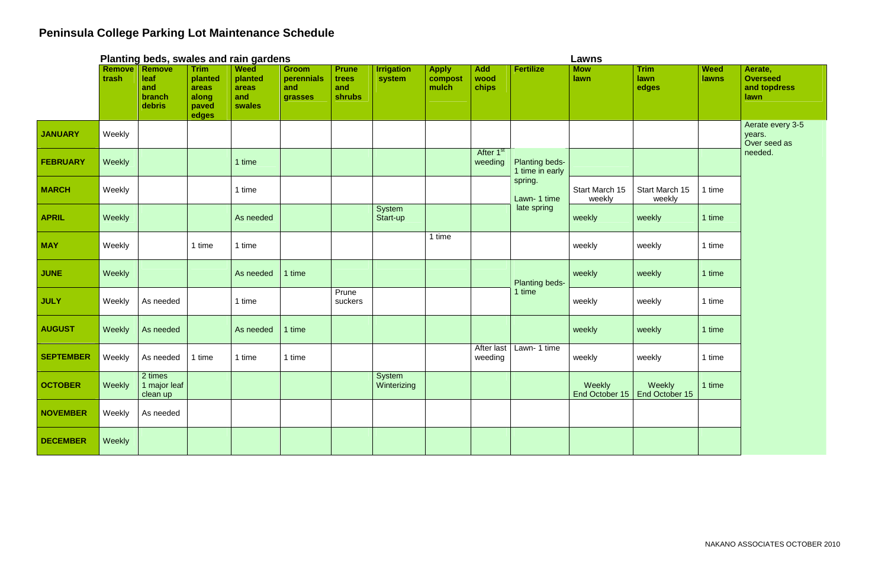# **Peninsula College Parking Lot Maintenance Schedule**

|                  | Planting beds, swales and rain gardens |                                           |                                                            |                                                  |                                              |                                        |                             |                                  |                                  |                                          |                          |                                     |                             |                                                    |
|------------------|----------------------------------------|-------------------------------------------|------------------------------------------------------------|--------------------------------------------------|----------------------------------------------|----------------------------------------|-----------------------------|----------------------------------|----------------------------------|------------------------------------------|--------------------------|-------------------------------------|-----------------------------|----------------------------------------------------|
|                  | Remove<br>trash                        | Remove<br>leaf<br>and<br>branch<br>debris | <b>Trim</b><br>planted<br>areas<br>along<br>paved<br>edges | <b>Weed</b><br>planted<br>areas<br>and<br>swales | <b>Groom</b><br>perennials<br>and<br>grasses | <b>Prune</b><br>trees<br>and<br>shrubs | <b>Irrigation</b><br>system | <b>Apply</b><br>compost<br>mulch | <b>Add</b><br>wood<br>chips      | <b>Fertilize</b>                         | <b>Mow</b><br>lawn       | <b>Trim</b><br><b>lawn</b><br>edges | <b>Weed</b><br><b>lawns</b> | Aerate,<br><b>Overseed</b><br>and topdress<br>lawn |
| <b>JANUARY</b>   | Weekly                                 |                                           |                                                            |                                                  |                                              |                                        |                             |                                  |                                  |                                          |                          |                                     |                             | Aerate every 3-5<br>years.<br>Over seed as         |
| <b>FEBRUARY</b>  | Weekly                                 |                                           |                                                            | 1 time                                           |                                              |                                        |                             |                                  | After 1 <sup>st</sup><br>weeding | <b>Planting beds-</b><br>1 time in early |                          |                                     |                             | needed.                                            |
| <b>MARCH</b>     | Weekly                                 |                                           |                                                            | 1 time                                           |                                              |                                        |                             |                                  |                                  | spring.<br>Lawn- 1 time                  | Start March 15<br>weekly | Start March 15<br>weekly            | 1 time                      |                                                    |
| <b>APRIL</b>     | Weekly                                 |                                           |                                                            | As needed                                        |                                              |                                        | System<br>Start-up          |                                  |                                  | late spring                              | weekly                   | weekly                              | 1 time                      |                                                    |
| <b>MAY</b>       | Weekly                                 |                                           | 1 time                                                     | 1 time                                           |                                              |                                        |                             | 1 time                           |                                  |                                          | weekly                   | weekly                              | 1 time                      |                                                    |
| <b>JUNE</b>      | Weekly                                 |                                           |                                                            | As needed                                        | 1 time                                       |                                        |                             |                                  |                                  | <b>Planting beds-</b>                    | weekly                   | weekly                              | 1 time                      |                                                    |
| <b>JULY</b>      | Weekly                                 | As needed                                 |                                                            | 1 time                                           |                                              | Prune<br>suckers                       |                             |                                  |                                  | 1 time                                   | weekly                   | weekly                              | 1 time                      |                                                    |
| <b>AUGUST</b>    | Weekly                                 | As needed                                 |                                                            | As needed                                        | 1 time                                       |                                        |                             |                                  |                                  |                                          | weekly                   | weekly                              | 1 time                      |                                                    |
| <b>SEPTEMBER</b> | Weekly                                 | As needed                                 | 1 time                                                     | 1 time                                           | 1 time                                       |                                        |                             |                                  | After last<br>weeding            | Lawn- 1 time                             | weekly                   | weekly                              | 1 time                      |                                                    |
| <b>OCTOBER</b>   | Weekly                                 | 2 times<br>1 major leaf<br>clean up       |                                                            |                                                  |                                              |                                        | System<br>Winterizing       |                                  |                                  |                                          | Weekly<br>End October 15 | Weekly<br>End October 15            | 1 time                      |                                                    |
| <b>NOVEMBER</b>  | Weekly                                 | As needed                                 |                                                            |                                                  |                                              |                                        |                             |                                  |                                  |                                          |                          |                                     |                             |                                                    |
| <b>DECEMBER</b>  | Weekly                                 |                                           |                                                            |                                                  |                                              |                                        |                             |                                  |                                  |                                          |                          |                                     |                             |                                                    |